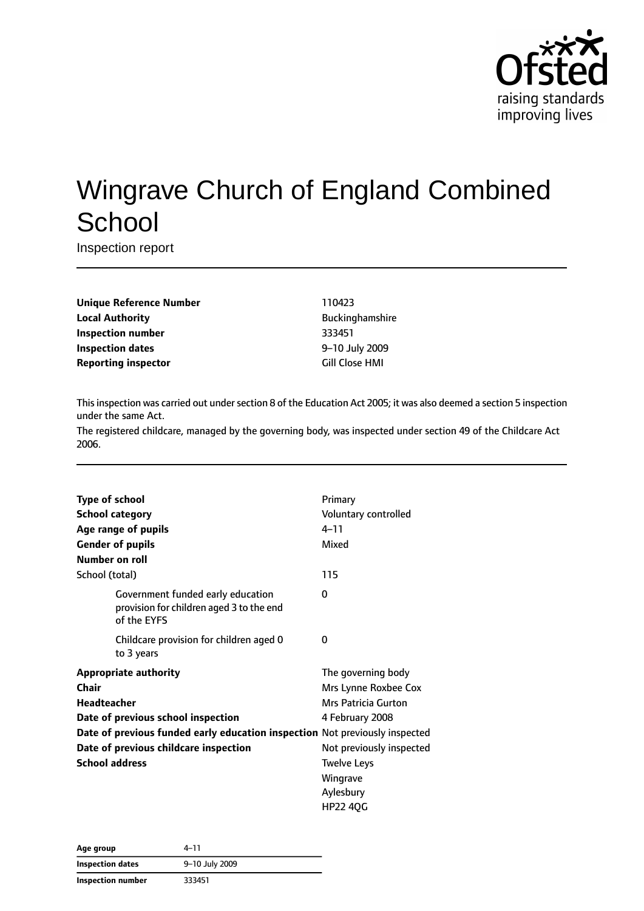

# Wingrave Church of England Combined **School**

Inspection report

| 110423                 |
|------------------------|
| <b>Buckinghamshire</b> |
| 333451                 |
| 9-10 July 2009         |
| Gill Close HMI         |
|                        |

This inspection was carried out under section 8 of the Education Act 2005; it was also deemed a section 5 inspection under the same Act.

The registered childcare, managed by the governing body, was inspected under section 49 of the Childcare Act 2006.

| <b>Type of school</b>                                                                        | Primary                  |
|----------------------------------------------------------------------------------------------|--------------------------|
| <b>School category</b>                                                                       | Voluntary controlled     |
| Age range of pupils                                                                          | $4 - 11$                 |
| <b>Gender of pupils</b>                                                                      | Mixed                    |
| <b>Number on roll</b>                                                                        |                          |
| School (total)                                                                               | 115                      |
| Government funded early education<br>provision for children aged 3 to the end<br>of the EYFS | 0                        |
| Childcare provision for children aged 0<br>to 3 years                                        | 0                        |
| <b>Appropriate authority</b>                                                                 | The governing body       |
| Chair                                                                                        | Mrs Lynne Roxbee Cox     |
| <b>Headteacher</b>                                                                           | Mrs Patricia Gurton      |
| Date of previous school inspection                                                           | 4 February 2008          |
| Date of previous funded early education inspection Not previously inspected                  |                          |
| Date of previous childcare inspection                                                        | Not previously inspected |
| <b>School address</b>                                                                        | <b>Twelve Leys</b>       |
|                                                                                              | Wingrave                 |
|                                                                                              | Aylesbury                |
|                                                                                              | HP22 40G                 |

| Age group         | 4–11           |
|-------------------|----------------|
| Inspection dates  | 9-10 July 2009 |
| Inspection number | 333451         |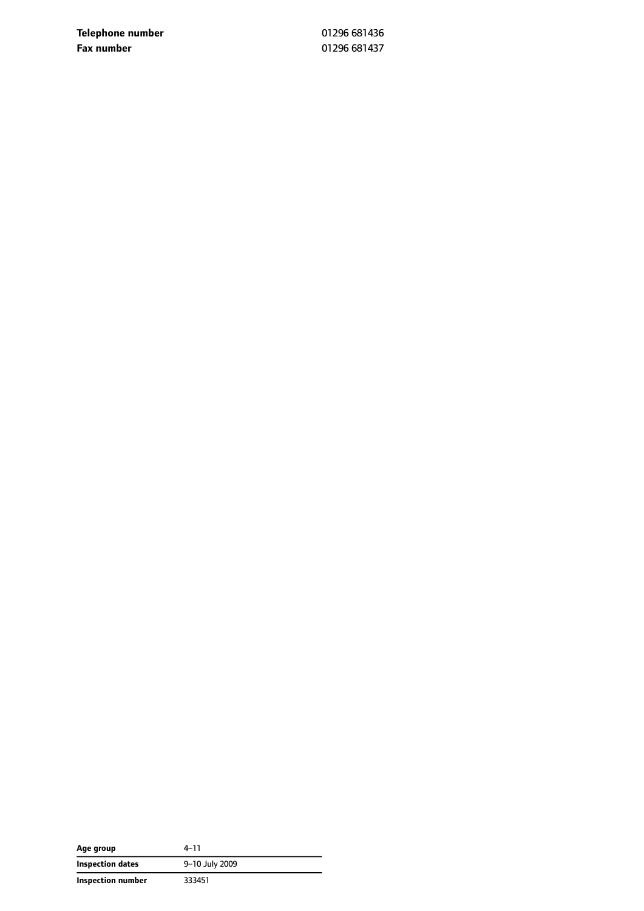**Telephone number** 01296 681436 **Fax number** 01296 681437

| Age group         | 4–11           |
|-------------------|----------------|
| Inspection dates  | 9-10 July 2009 |
| Inspection number | 333451         |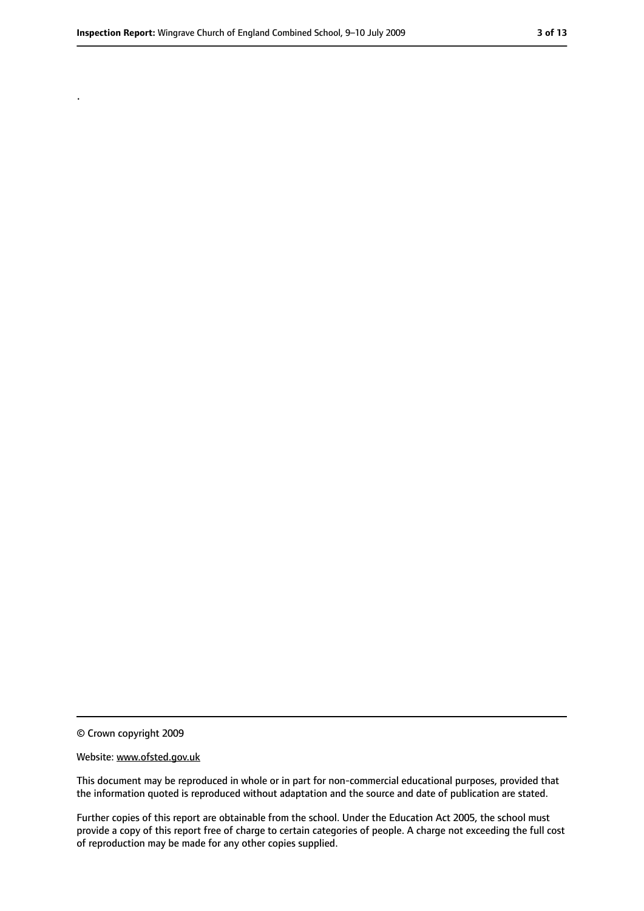.

<sup>©</sup> Crown copyright 2009

Website: www.ofsted.gov.uk

This document may be reproduced in whole or in part for non-commercial educational purposes, provided that the information quoted is reproduced without adaptation and the source and date of publication are stated.

Further copies of this report are obtainable from the school. Under the Education Act 2005, the school must provide a copy of this report free of charge to certain categories of people. A charge not exceeding the full cost of reproduction may be made for any other copies supplied.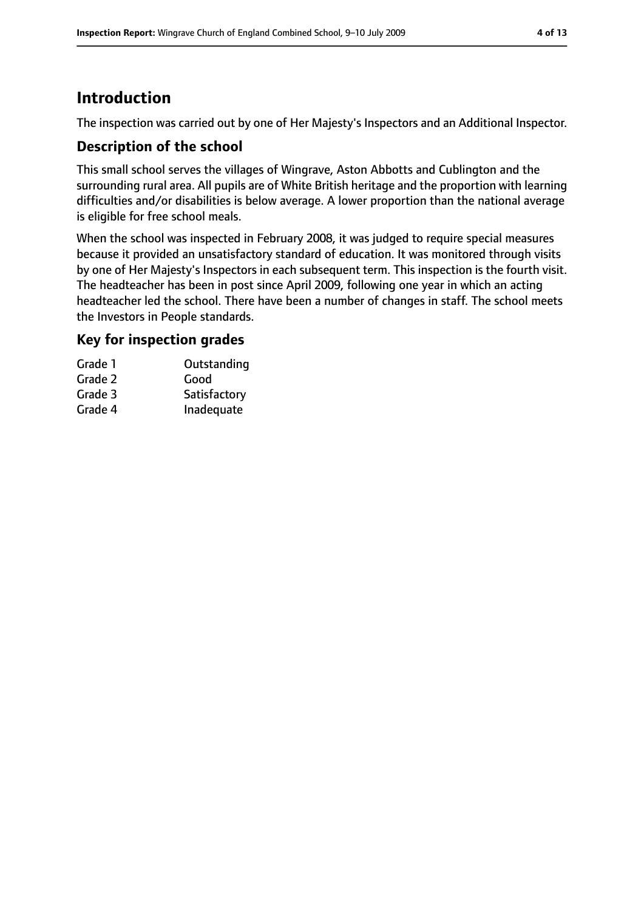# **Introduction**

The inspection was carried out by one of Her Majesty's Inspectors and an Additional Inspector.

### **Description of the school**

This small school serves the villages of Wingrave, Aston Abbotts and Cublington and the surrounding rural area. All pupils are of White British heritage and the proportion with learning difficulties and/or disabilities is below average. A lower proportion than the national average is eligible for free school meals.

When the school was inspected in February 2008, it was judged to require special measures because it provided an unsatisfactory standard of education. It was monitored through visits by one of Her Majesty's Inspectors in each subsequent term. This inspection is the fourth visit. The headteacher has been in post since April 2009, following one year in which an acting headteacher led the school. There have been a number of changes in staff. The school meets the Investors in People standards.

### **Key for inspection grades**

| Grade 1 | Outstanding  |
|---------|--------------|
| Grade 2 | Good         |
| Grade 3 | Satisfactory |
| Grade 4 | Inadequate   |
|         |              |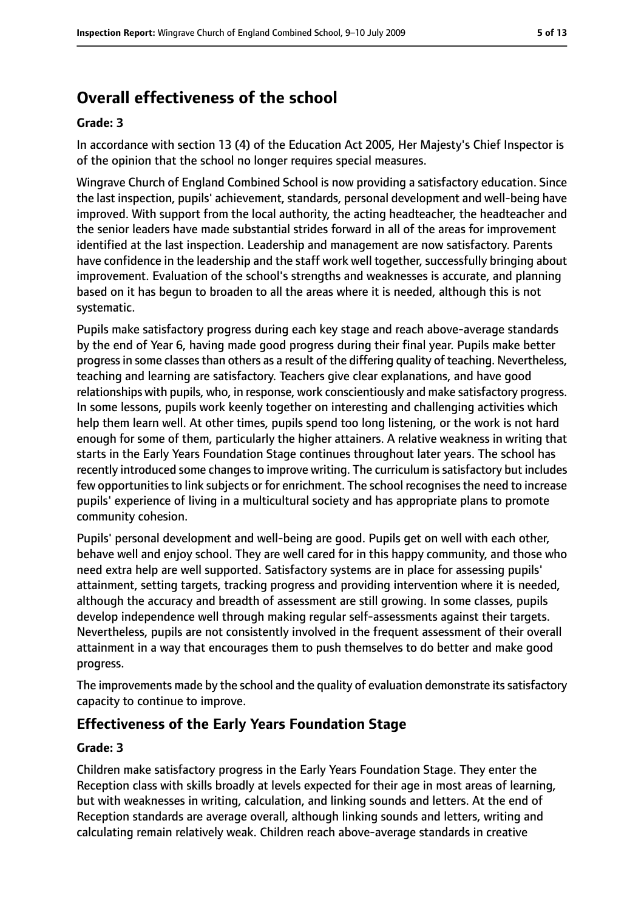# **Overall effectiveness of the school**

#### **Grade: 3**

In accordance with section 13 (4) of the Education Act 2005, Her Majesty's Chief Inspector is of the opinion that the school no longer requires special measures.

Wingrave Church of England Combined School is now providing a satisfactory education. Since the last inspection, pupils' achievement, standards, personal development and well-being have improved. With support from the local authority, the acting headteacher, the headteacher and the senior leaders have made substantial strides forward in all of the areas for improvement identified at the last inspection. Leadership and management are now satisfactory. Parents have confidence in the leadership and the staff work well together, successfully bringing about improvement. Evaluation of the school's strengths and weaknesses is accurate, and planning based on it has begun to broaden to all the areas where it is needed, although this is not systematic.

Pupils make satisfactory progress during each key stage and reach above-average standards by the end of Year 6, having made good progress during their final year. Pupils make better progressin some classesthan others as a result of the differing quality of teaching. Nevertheless, teaching and learning are satisfactory. Teachers give clear explanations, and have good relationships with pupils, who, in response, work conscientiously and make satisfactory progress. In some lessons, pupils work keenly together on interesting and challenging activities which help them learn well. At other times, pupils spend too long listening, or the work is not hard enough for some of them, particularly the higher attainers. A relative weakness in writing that starts in the Early Years Foundation Stage continues throughout later years. The school has recently introduced some changes to improve writing. The curriculum is satisfactory but includes few opportunities to link subjects or for enrichment. The school recognises the need to increase pupils' experience of living in a multicultural society and has appropriate plans to promote community cohesion.

Pupils' personal development and well-being are good. Pupils get on well with each other, behave well and enjoy school. They are well cared for in this happy community, and those who need extra help are well supported. Satisfactory systems are in place for assessing pupils' attainment, setting targets, tracking progress and providing intervention where it is needed, although the accuracy and breadth of assessment are still growing. In some classes, pupils develop independence well through making regular self-assessments against their targets. Nevertheless, pupils are not consistently involved in the frequent assessment of their overall attainment in a way that encourages them to push themselves to do better and make good progress.

The improvements made by the school and the quality of evaluation demonstrate its satisfactory capacity to continue to improve.

# **Effectiveness of the Early Years Foundation Stage**

### **Grade: 3**

Children make satisfactory progress in the Early Years Foundation Stage. They enter the Reception class with skills broadly at levels expected for their age in most areas of learning, but with weaknesses in writing, calculation, and linking sounds and letters. At the end of Reception standards are average overall, although linking sounds and letters, writing and calculating remain relatively weak. Children reach above-average standards in creative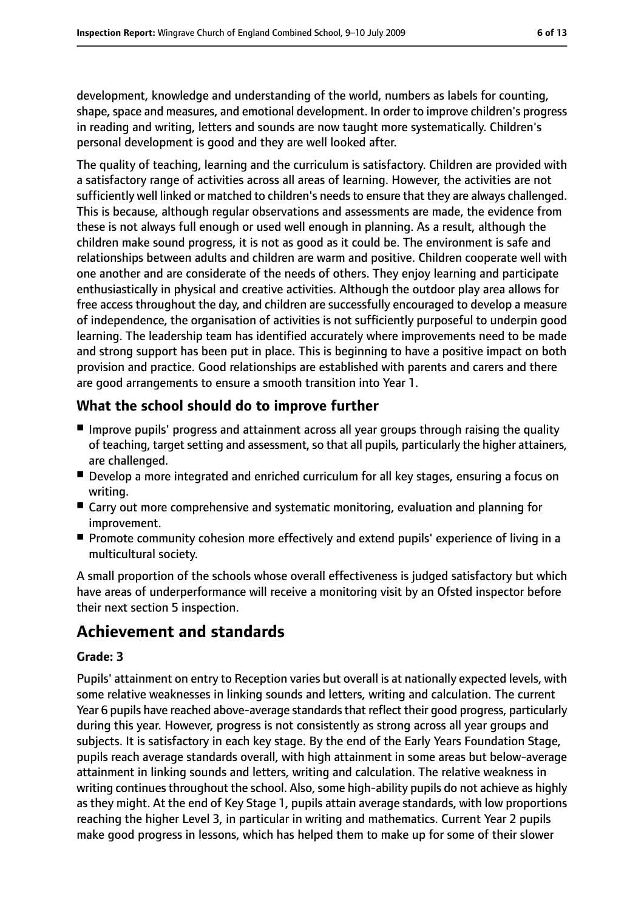development, knowledge and understanding of the world, numbers as labels for counting, shape, space and measures, and emotional development. In order to improve children's progress in reading and writing, letters and sounds are now taught more systematically. Children's personal development is good and they are well looked after.

The quality of teaching, learning and the curriculum is satisfactory. Children are provided with a satisfactory range of activities across all areas of learning. However, the activities are not sufficiently well linked or matched to children's needs to ensure that they are always challenged. This is because, although regular observations and assessments are made, the evidence from these is not always full enough or used well enough in planning. As a result, although the children make sound progress, it is not as good as it could be. The environment is safe and relationships between adults and children are warm and positive. Children cooperate well with one another and are considerate of the needs of others. They enjoy learning and participate enthusiastically in physical and creative activities. Although the outdoor play area allows for free access throughout the day, and children are successfully encouraged to develop a measure of independence, the organisation of activities is not sufficiently purposeful to underpin good learning. The leadership team has identified accurately where improvements need to be made and strong support has been put in place. This is beginning to have a positive impact on both provision and practice. Good relationships are established with parents and carers and there are good arrangements to ensure a smooth transition into Year 1.

# **What the school should do to improve further**

- Improve pupils' progress and attainment across all year groups through raising the quality of teaching, target setting and assessment, so that all pupils, particularly the higher attainers, are challenged.
- Develop a more integrated and enriched curriculum for all key stages, ensuring a focus on writing.
- Carry out more comprehensive and systematic monitoring, evaluation and planning for improvement.
- Promote community cohesion more effectively and extend pupils' experience of living in a multicultural society.

A small proportion of the schools whose overall effectiveness is judged satisfactory but which have areas of underperformance will receive a monitoring visit by an Ofsted inspector before their next section 5 inspection.

# **Achievement and standards**

### **Grade: 3**

Pupils' attainment on entry to Reception varies but overall is at nationally expected levels, with some relative weaknesses in linking sounds and letters, writing and calculation. The current Year 6 pupils have reached above-average standards that reflect their good progress, particularly during this year. However, progress is not consistently as strong across all year groups and subjects. It is satisfactory in each key stage. By the end of the Early Years Foundation Stage, pupils reach average standards overall, with high attainment in some areas but below-average attainment in linking sounds and letters, writing and calculation. The relative weakness in writing continues throughout the school. Also, some high-ability pupils do not achieve as highly as they might. At the end of Key Stage 1, pupils attain average standards, with low proportions reaching the higher Level 3, in particular in writing and mathematics. Current Year 2 pupils make good progress in lessons, which has helped them to make up for some of their slower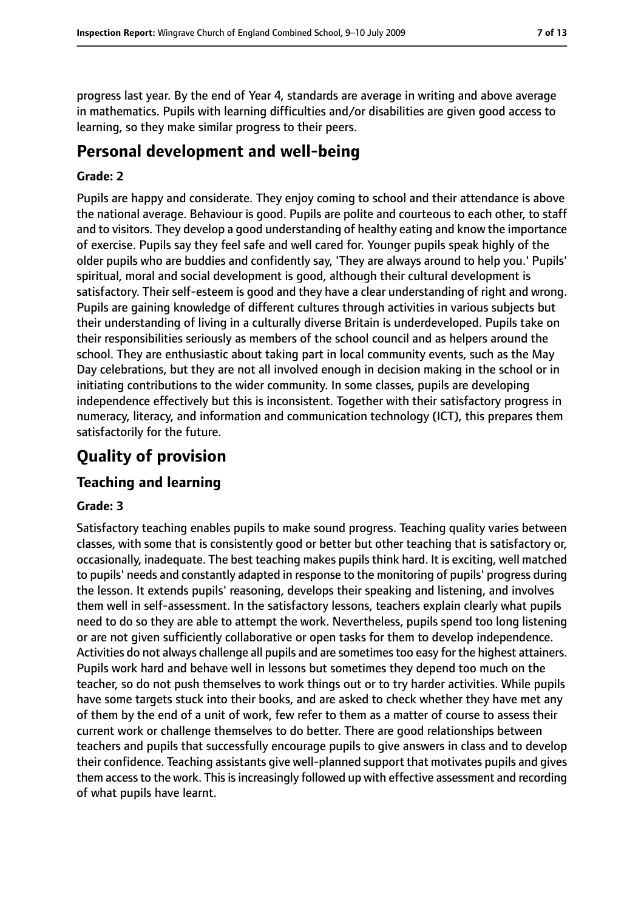progress last year. By the end of Year 4, standards are average in writing and above average in mathematics. Pupils with learning difficulties and/or disabilities are given good access to learning, so they make similar progress to their peers.

# **Personal development and well-being**

#### **Grade: 2**

Pupils are happy and considerate. They enjoy coming to school and their attendance is above the national average. Behaviour is good. Pupils are polite and courteous to each other, to staff and to visitors. They develop a good understanding of healthy eating and know the importance of exercise. Pupils say they feel safe and well cared for. Younger pupils speak highly of the older pupils who are buddies and confidently say, 'They are always around to help you.' Pupils' spiritual, moral and social development is good, although their cultural development is satisfactory. Their self-esteem is good and they have a clear understanding of right and wrong. Pupils are gaining knowledge of different cultures through activities in various subjects but their understanding of living in a culturally diverse Britain is underdeveloped. Pupils take on their responsibilities seriously as members of the school council and as helpers around the school. They are enthusiastic about taking part in local community events, such as the May Day celebrations, but they are not all involved enough in decision making in the school or in initiating contributions to the wider community. In some classes, pupils are developing independence effectively but this is inconsistent. Together with their satisfactory progress in numeracy, literacy, and information and communication technology (ICT), this prepares them satisfactorily for the future.

# **Quality of provision**

# **Teaching and learning**

#### **Grade: 3**

Satisfactory teaching enables pupils to make sound progress. Teaching quality varies between classes, with some that is consistently good or better but other teaching that is satisfactory or, occasionally, inadequate. The best teaching makes pupils think hard. It is exciting, well matched to pupils' needs and constantly adapted in response to the monitoring of pupils' progress during the lesson. It extends pupils' reasoning, develops their speaking and listening, and involves them well in self-assessment. In the satisfactory lessons, teachers explain clearly what pupils need to do so they are able to attempt the work. Nevertheless, pupils spend too long listening or are not given sufficiently collaborative or open tasks for them to develop independence. Activities do not always challenge all pupils and are sometimestoo easy for the highest attainers. Pupils work hard and behave well in lessons but sometimes they depend too much on the teacher, so do not push themselves to work things out or to try harder activities. While pupils have some targets stuck into their books, and are asked to check whether they have met any of them by the end of a unit of work, few refer to them as a matter of course to assess their current work or challenge themselves to do better. There are good relationships between teachers and pupils that successfully encourage pupils to give answers in class and to develop their confidence. Teaching assistants give well-planned support that motivates pupils and gives them access to the work. This is increasingly followed up with effective assessment and recording of what pupils have learnt.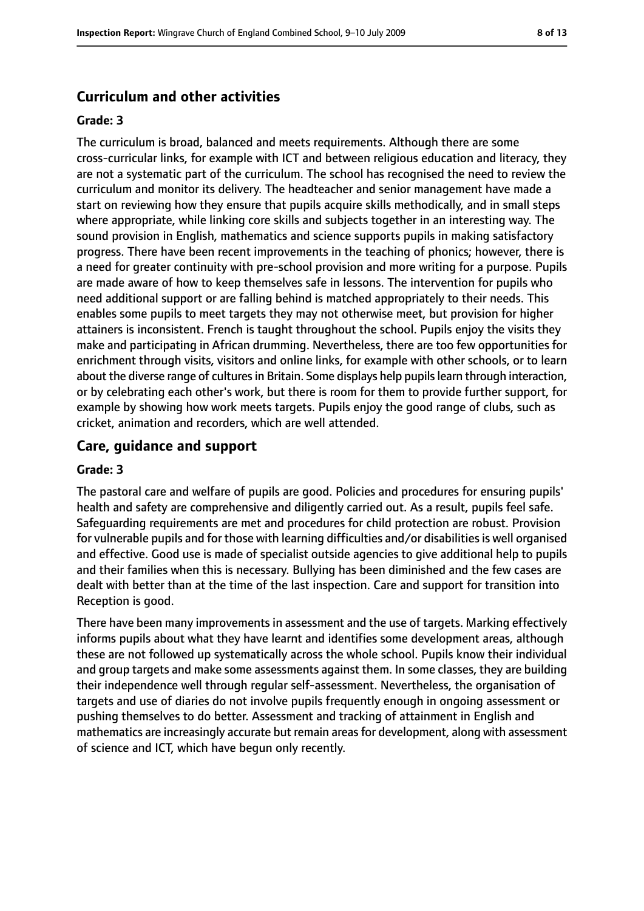#### **Curriculum and other activities**

#### **Grade: 3**

The curriculum is broad, balanced and meets requirements. Although there are some cross-curricular links, for example with ICT and between religious education and literacy, they are not a systematic part of the curriculum. The school has recognised the need to review the curriculum and monitor its delivery. The headteacher and senior management have made a start on reviewing how they ensure that pupils acquire skills methodically, and in small steps where appropriate, while linking core skills and subjects together in an interesting way. The sound provision in English, mathematics and science supports pupils in making satisfactory progress. There have been recent improvements in the teaching of phonics; however, there is a need for greater continuity with pre-school provision and more writing for a purpose. Pupils are made aware of how to keep themselves safe in lessons. The intervention for pupils who need additional support or are falling behind is matched appropriately to their needs. This enables some pupils to meet targets they may not otherwise meet, but provision for higher attainers is inconsistent. French is taught throughout the school. Pupils enjoy the visits they make and participating in African drumming. Nevertheless, there are too few opportunities for enrichment through visits, visitors and online links, for example with other schools, or to learn about the diverse range of cultures in Britain. Some displays help pupils learn through interaction, or by celebrating each other's work, but there is room for them to provide further support, for example by showing how work meets targets. Pupils enjoy the good range of clubs, such as cricket, animation and recorders, which are well attended.

#### **Care, guidance and support**

#### **Grade: 3**

The pastoral care and welfare of pupils are good. Policies and procedures for ensuring pupils' health and safety are comprehensive and diligently carried out. As a result, pupils feel safe. Safeguarding requirements are met and procedures for child protection are robust. Provision for vulnerable pupils and for those with learning difficulties and/or disabilities is well organised and effective. Good use is made of specialist outside agencies to give additional help to pupils and their families when this is necessary. Bullying has been diminished and the few cases are dealt with better than at the time of the last inspection. Care and support for transition into Reception is good.

There have been many improvements in assessment and the use of targets. Marking effectively informs pupils about what they have learnt and identifies some development areas, although these are not followed up systematically across the whole school. Pupils know their individual and group targets and make some assessments against them. In some classes, they are building their independence well through regular self-assessment. Nevertheless, the organisation of targets and use of diaries do not involve pupils frequently enough in ongoing assessment or pushing themselves to do better. Assessment and tracking of attainment in English and mathematics are increasingly accurate but remain areas for development, along with assessment of science and ICT, which have begun only recently.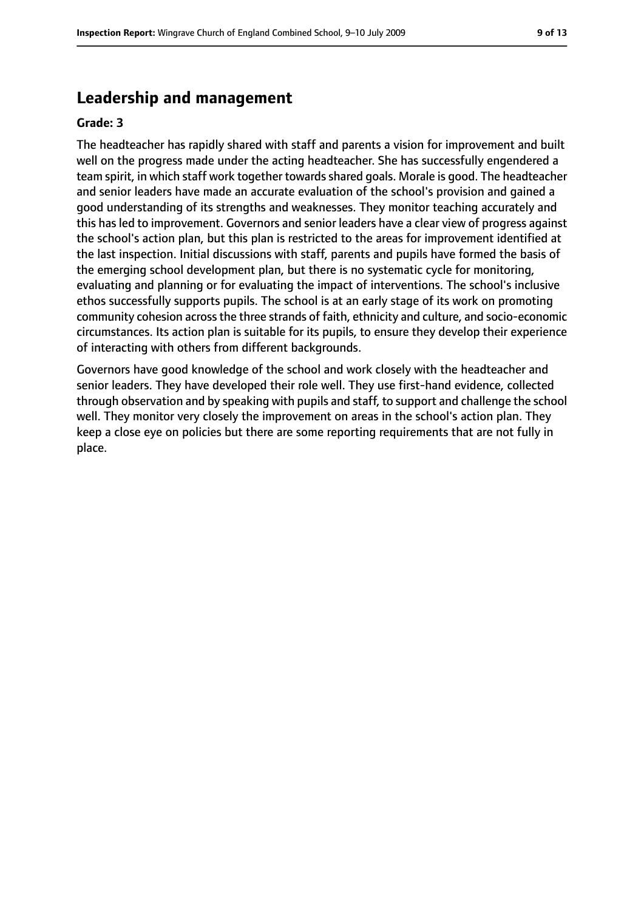### **Leadership and management**

#### **Grade: 3**

The headteacher has rapidly shared with staff and parents a vision for improvement and built well on the progress made under the acting headteacher. She has successfully engendered a team spirit, in which staff work together towards shared goals. Morale is good. The headteacher and senior leaders have made an accurate evaluation of the school's provision and gained a good understanding of its strengths and weaknesses. They monitor teaching accurately and this has led to improvement. Governors and senior leaders have a clear view of progress against the school's action plan, but this plan is restricted to the areas for improvement identified at the last inspection. Initial discussions with staff, parents and pupils have formed the basis of the emerging school development plan, but there is no systematic cycle for monitoring, evaluating and planning or for evaluating the impact of interventions. The school's inclusive ethos successfully supports pupils. The school is at an early stage of its work on promoting community cohesion acrossthe three strands of faith, ethnicity and culture, and socio-economic circumstances. Its action plan is suitable for its pupils, to ensure they develop their experience of interacting with others from different backgrounds.

Governors have good knowledge of the school and work closely with the headteacher and senior leaders. They have developed their role well. They use first-hand evidence, collected through observation and by speaking with pupils and staff, to support and challenge the school well. They monitor very closely the improvement on areas in the school's action plan. They keep a close eye on policies but there are some reporting requirements that are not fully in place.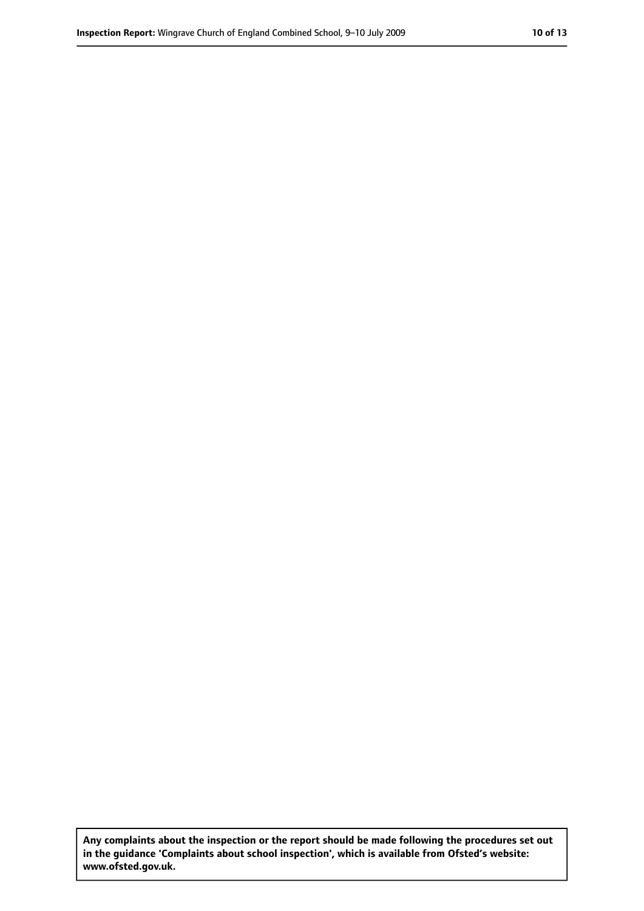**Any complaints about the inspection or the report should be made following the procedures set out in the guidance 'Complaints about school inspection', which is available from Ofsted's website: www.ofsted.gov.uk.**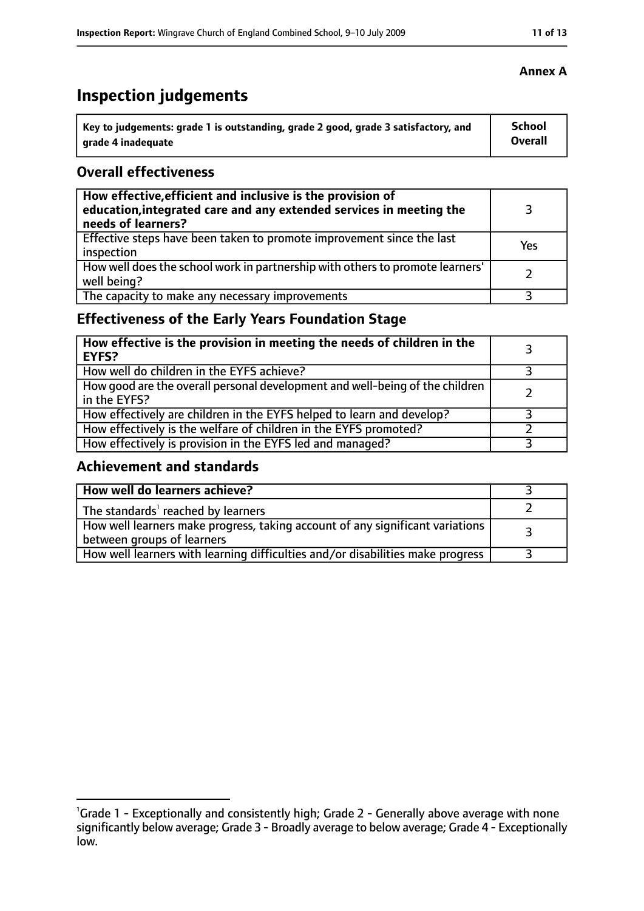# **Inspection judgements**

| Key to judgements: grade 1 is outstanding, grade 2 good, grade 3 satisfactory, and | <b>School</b> |
|------------------------------------------------------------------------------------|---------------|
| arade 4 inadequate                                                                 | Overall       |

### **Overall effectiveness**

| How effective, efficient and inclusive is the provision of<br>education, integrated care and any extended services in meeting the<br>needs of learners? |     |
|---------------------------------------------------------------------------------------------------------------------------------------------------------|-----|
| Effective steps have been taken to promote improvement since the last<br>inspection                                                                     | Yes |
| How well does the school work in partnership with others to promote learners'<br>well being?                                                            |     |
| The capacity to make any necessary improvements                                                                                                         |     |

# **Effectiveness of the Early Years Foundation Stage**

| How effective is the provision in meeting the needs of children in the<br><b>EYFS?</b>       |  |
|----------------------------------------------------------------------------------------------|--|
| How well do children in the EYFS achieve?                                                    |  |
| How good are the overall personal development and well-being of the children<br>in the EYFS? |  |
| How effectively are children in the EYFS helped to learn and develop?                        |  |
| How effectively is the welfare of children in the EYFS promoted?                             |  |
| How effectively is provision in the EYFS led and managed?                                    |  |

# **Achievement and standards**

| How well do learners achieve?                                                                               |  |
|-------------------------------------------------------------------------------------------------------------|--|
| The standards <sup>1</sup> reached by learners                                                              |  |
| How well learners make progress, taking account of any significant variations<br>between groups of learners |  |
| How well learners with learning difficulties and/or disabilities make progress                              |  |

# **Annex A**

<sup>&</sup>lt;sup>1</sup>Grade 1 - Exceptionally and consistently high; Grade 2 - Generally above average with none significantly below average; Grade 3 - Broadly average to below average; Grade 4 - Exceptionally low.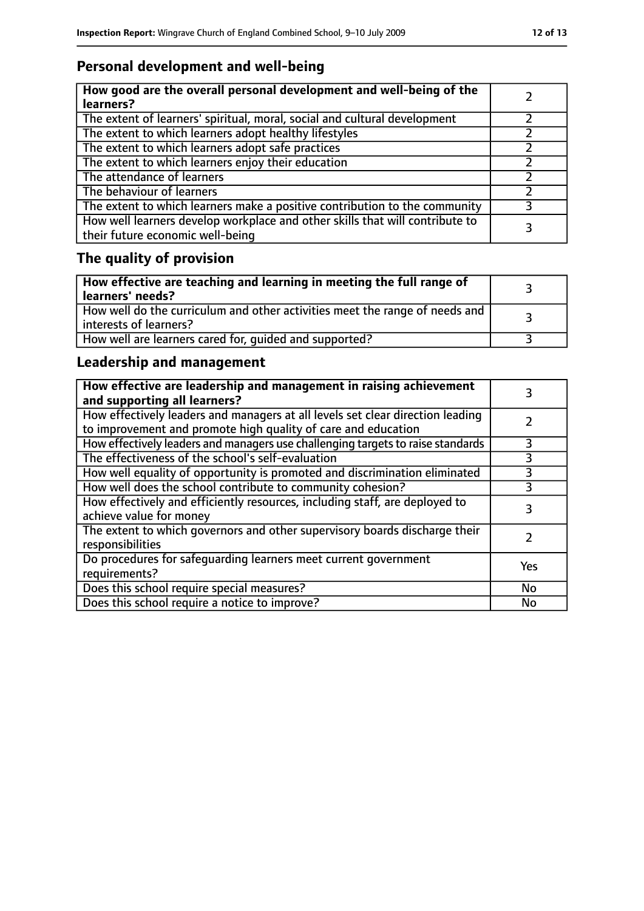# **Personal development and well-being**

| How good are the overall personal development and well-being of the<br>learners?                                 |  |
|------------------------------------------------------------------------------------------------------------------|--|
| The extent of learners' spiritual, moral, social and cultural development                                        |  |
| The extent to which learners adopt healthy lifestyles                                                            |  |
| The extent to which learners adopt safe practices                                                                |  |
| The extent to which learners enjoy their education                                                               |  |
| The attendance of learners                                                                                       |  |
| The behaviour of learners                                                                                        |  |
| The extent to which learners make a positive contribution to the community                                       |  |
| How well learners develop workplace and other skills that will contribute to<br>their future economic well-being |  |

# **The quality of provision**

| How effective are teaching and learning in meeting the full range of<br>learners' needs?              |  |
|-------------------------------------------------------------------------------------------------------|--|
| How well do the curriculum and other activities meet the range of needs and<br>interests of learners? |  |
| How well are learners cared for, quided and supported?                                                |  |

# **Leadership and management**

| How effective are leadership and management in raising achievement<br>and supporting all learners?                                              |           |
|-------------------------------------------------------------------------------------------------------------------------------------------------|-----------|
| How effectively leaders and managers at all levels set clear direction leading<br>to improvement and promote high quality of care and education |           |
| How effectively leaders and managers use challenging targets to raise standards                                                                 | 3         |
| The effectiveness of the school's self-evaluation                                                                                               | 3         |
| How well equality of opportunity is promoted and discrimination eliminated                                                                      | 3         |
| How well does the school contribute to community cohesion?                                                                                      | 3         |
| How effectively and efficiently resources, including staff, are deployed to<br>achieve value for money                                          | 3         |
| The extent to which governors and other supervisory boards discharge their<br>responsibilities                                                  |           |
| Do procedures for safequarding learners meet current government<br>requirements?                                                                | Yes       |
| Does this school require special measures?                                                                                                      | No        |
| Does this school require a notice to improve?                                                                                                   | <b>No</b> |